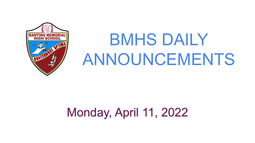

# BMHS DAILY ANNOUNCEMENTS

## Monday, April 11, 2022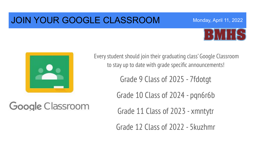### JOIN YOUR GOOGLE CLASSROOM



Monday, April 11, 2022



Google Classroom

Every student should join their graduating class' Google Classroom to stay up to date with grade specific announcements!

Grade 9 Class of 2025 - 7fdotgt

Grade 10 Class of 2024 - pqn6r6b

Grade 11 Class of 2023 - xmntytr

Grade 12 Class of 2022 - 5kuzhmr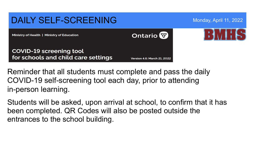

Reminder that all students must complete and pass the daily COVID-19 self-screening tool each day, prior to attending in-person learning.

Students will be asked, upon arrival at school, to confirm that it has been completed. QR Codes will also be posted outside the entrances to the school building.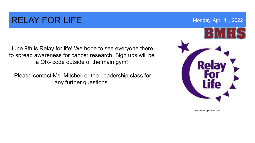### RELAY FOR LIFE MONDAY APRIL 11, 2022

June 9th is Relay for life! We hope to see everyone there to spread awareness for cancer research. Sign ups will be a QR- code outside of the main gym!

 Please contact Ms. Mitchell or the Leadership class for any further questions.



Photo credit:pinterest.com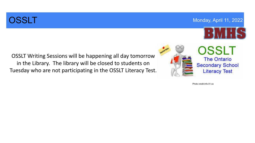### **OSSLT** Monday, April 11, 2022



OSSLT Writing Sessions will be happening all day tomorrow in the Library. The library will be closed to students on Tuesday who are not participating in the OSSLT Literacy Test.



Photo credit:info.51.ca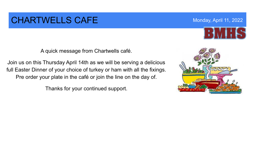### CHARTWELLS CAFE Monday, April 11, 2022

A quick message from Chartwells café.

Join us on this Thursday April 14th as we will be serving a delicious full Easter Dinner of your choice of turkey or ham with all the fixings. Pre order your plate in the café or join the line on the day of.

Thanks for your continued support.

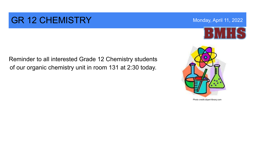### GR 12 CHEMISTRY Monday, April 11, 2022

of our organic chemistry unit in room 131 at 2:30 today.

Reminder to all interested Grade 12 Chemistry students



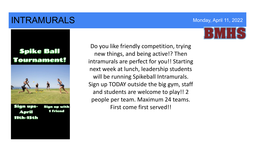### **INTRAMURALS** Monday, April 11, 2022

### **Spike Ball** urnament!



1 friend April 11th-15th

 people per team. Maximum 24 teams. Do you like friendly competition, trying new things, and being active!? Then intramurals are perfect for you!! Starting next week at lunch, leadership students will be running Spikeball Intramurals. Sign up TODAY outside the big gym, staff and students are welcome to play!! 2 First come first served!!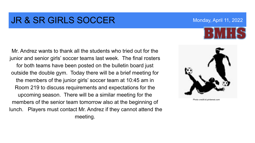### **JR & SR GIRLS SOCCER** Monday, April 11, 2022

Mr. Andrez wants to thank all the students who tried out for the junior and senior girls' soccer teams last week. The final rosters for both teams have been posted on the bulletin board just outside the double gym. Today there will be a brief meeting for the members of the junior girls' soccer team at 10:45 am in Room 219 to discuss requirements and expectations for the upcoming season. There will be a similar meeting for the members of the senior team tomorrow also at the beginning of lunch. Players must contact Mr. Andrez if they cannot attend the meeting.



Photo credit:id.pinterest.com

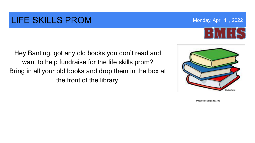### LIFE SKILLS PROM Monday, April 11, 2022

Hey Banting, got any old books you don't read and want to help fundraise for the life skills prom? Bring in all your old books and drop them in the box at the front of the library.

Photo credit:cliparts.zone



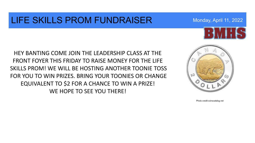### LIFE SKILLS PROM FUNDRAISER Monday, April 11, 2022





Photo credit:coinscatalog.net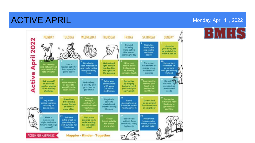### ACTIVE APRIL Monday, April 11, 2022